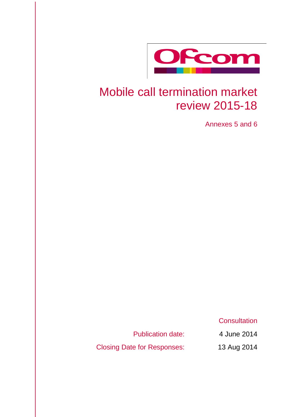

# Mobile call termination market review 2015-18

Annexes 5 and 6

**Consultation** 

Publication date: 4 June 2014

Closing Date for Responses: 13 Aug 2014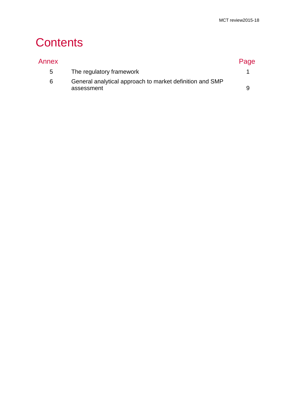# **Contents**

| Annex |                                                                        | Page |
|-------|------------------------------------------------------------------------|------|
| $5 -$ | The regulatory framework                                               |      |
| 6     | General analytical approach to market definition and SMP<br>assessment | Q    |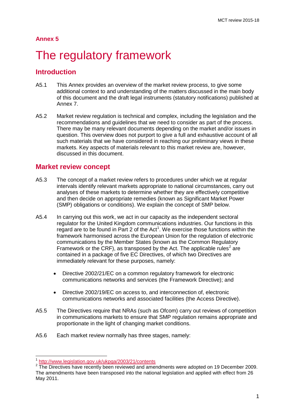### **Annex 5**

# <span id="page-3-0"></span>The regulatory framework

# **Introduction**

- A5.1 This Annex provides an overview of the market review process, to give some additional context to and understanding of the matters discussed in the main body of this document and the draft legal instruments (statutory notifications) published at Annex 7.
- A5.2 Market review regulation is technical and complex, including the legislation and the recommendations and guidelines that we need to consider as part of the process. There may be many relevant documents depending on the market and/or issues in question. This overview does not purport to give a full and exhaustive account of all such materials that we have considered in reaching our preliminary views in these markets. Key aspects of materials relevant to this market review are, however, discussed in this document.

# **Market review concept**

- A5.3 The concept of a market review refers to procedures under which we at regular intervals identify relevant markets appropriate to national circumstances, carry out analyses of these markets to determine whether they are effectively competitive and then decide on appropriate remedies (known as Significant Market Power (SMP) obligations or conditions). We explain the concept of SMP below.
- A5.4 In carrying out this work, we act in our capacity as the independent sectoral regulator for the United Kingdom communications industries. Our functions in this regard are to be found in Part 2 of the Act<sup>[1](#page-3-1)</sup>. We exercise those functions within the framework harmonised across the European Union for the regulation of electronic communications by the Member States (known as the Common Regulatory Framework or the CRF), as transposed by the Act. The applicable rules<sup>[2](#page-3-2)</sup> are contained in a package of five EC Directives, of which two Directives are immediately relevant for these purposes, namely:
	- Directive 2002/21/EC on a common regulatory framework for electronic communications networks and services (the Framework Directive); and
	- Directive 2002/19/EC on access to, and interconnection of, electronic communications networks and associated facilities (the Access Directive).
- A5.5 The Directives require that NRAs (such as Ofcom) carry out reviews of competition in communications markets to ensure that SMP regulation remains appropriate and proportionate in the light of changing market conditions.
- A5.6 Each market review normally has three stages, namely:

 $\overline{1}$ 

<span id="page-3-2"></span><span id="page-3-1"></span> $\frac{1}{2}$  <http://www.legislation.gov.uk/ukpga/2003/21/contents><br> $\frac{1}{2}$  The Directives have recently been reviewed and amendments were adopted on 19 December 2009. The amendments have been transposed into the national legislation and applied with effect from 26 May 2011.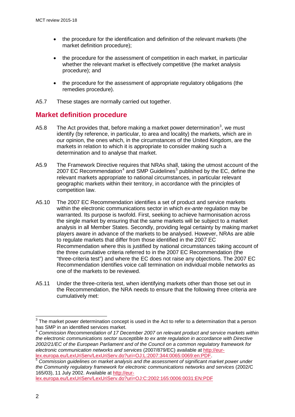- the procedure for the identification and definition of the relevant markets (the market definition procedure);
- the procedure for the assessment of competition in each market, in particular whether the relevant market is effectively competitive (the market analysis procedure); and
- the procedure for the assessment of appropriate regulatory obligations (the remedies procedure).
- A5.7 These stages are normally carried out together.

# **Market definition procedure**

- A5.8 The Act provides that, before making a market power determination<sup>[3](#page-4-0)</sup>, we must identify (by reference, in particular, to area and locality) the markets, which are in our opinion, the ones which, in the circumstances of the United Kingdom, are the markets in relation to which it is appropriate to consider making such a determination and to analyse that market.
- A5.9 The Framework Directive requires that NRAs shall, taking the utmost account of the 2007 EC Recommendation<sup>[4](#page-4-1)</sup> and SMP Guidelines<sup>[5](#page-4-2)</sup> published by the EC, define the relevant markets appropriate to national circumstances, in particular relevant geographic markets within their territory, in accordance with the principles of competition law.
- A5.10 The 2007 EC Recommendation identifies a set of product and service markets within the electronic communications sector in which *ex-ante* regulation may be warranted. Its purpose is twofold. First, seeking to achieve harmonisation across the single market by ensuring that the same markets will be subject to a market analysis in all Member States. Secondly, providing legal certainty by making market players aware in advance of the markets to be analysed. However, NRAs are able to regulate markets that differ from those identified in the 2007 EC Recommendation where this is justified by national circumstances taking account of the three cumulative criteria referred to in the 2007 EC Recommendation (the "three-criteria test") and where the EC does not raise any objections. The 2007 EC Recommendation identifies voice call termination on individual mobile networks as one of the markets to be reviewed.
- A5.11 Under the three-criteria test, when identifying markets other than those set out in the Recommendation, the NRA needs to ensure that the following three criteria are cumulatively met:

[lex.europa.eu/LexUriServ/LexUriServ.do?uri=OJ:C:2002:165:0006:0031:EN:PDF](http://eur-lex.europa.eu/LexUriServ/LexUriServ.do?uri=OJ:C:2002:165:0006:0031:EN:PDF)

<span id="page-4-0"></span> $3$  The market power determination concept is used in the Act to refer to a determination that a person has SMP in an identified services market.

<span id="page-4-1"></span><sup>4</sup> *Commission Recommendation of 17 December 2007 on relevant product and service markets within the electronic communications sector susceptible to ex ante regulation in accordance with Directive 2002/21/EC of the European Parliament and of the Council on a common regulatory framework for electronic communication networks and services* (2007/879/EC) available at [http://eur](http://eur-lex.europa.eu/LexUriServ/LexUriServ.do?uri=OJ:L:2007:344:0065:0069:en:PDF)[lex.europa.eu/LexUriServ/LexUriServ.do?uri=OJ:L:2007:344:0065:0069:en:PDF.](http://eur-lex.europa.eu/LexUriServ/LexUriServ.do?uri=OJ:L:2007:344:0065:0069:en:PDF) <sup>5</sup> *Commission guidelines on market analysis and the assessment of significant market power under* 

<span id="page-4-2"></span>*the Community regulatory framework for electronic communications networks and services* (2002/C 165/03), 11 July 2002. Available at [http://eur-](http://eur-lex.europa.eu/LexUriServ/LexUriServ.do?uri=OJ:C:2002:165:0006:0031:EN:PDF)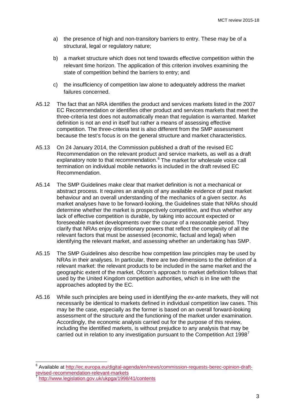- a) the presence of high and non-transitory barriers to entry. These may be of a structural, legal or regulatory nature;
- b) a market structure which does not tend towards effective competition within the relevant time horizon. The application of this criterion involves examining the state of competition behind the barriers to entry; and
- c) the insufficiency of competition law alone to adequately address the market failures concerned.
- A5.12 The fact that an NRA identifies the product and services markets listed in the 2007 EC Recommendation or identifies other product and services markets that meet the three-criteria test does not automatically mean that regulation is warranted. Market definition is not an end in itself but rather a means of assessing effective competition. The three-criteria test is also different from the SMP assessment because the test's focus is on the general structure and market characteristics.
- A5.13 On 24 January 2014, the Commission published a draft of the revised EC Recommendation on the relevant product and service markets, as well as a draft explanatory note to that recommendation.<sup>[6](#page-5-0)</sup> The market for wholesale voice call termination on individual mobile networks is included in the draft revised EC Recommendation.
- A5.14 The SMP Guidelines make clear that market definition is not a mechanical or abstract process. It requires an analysis of any available evidence of past market behaviour and an overall understanding of the mechanics of a given sector. As market analyses have to be forward-looking, the Guidelines state that NRAs should determine whether the market is prospectively competitive, and thus whether any lack of effective competition is durable, by taking into account expected or foreseeable market developments over the course of a reasonable period. They clarify that NRAs enjoy discretionary powers that reflect the complexity of all the relevant factors that must be assessed (economic, factual and legal) when identifying the relevant market, and assessing whether an undertaking has SMP.
- A5.15 The SMP Guidelines also describe how competition law principles may be used by NRAs in their analyses. In particular, there are two dimensions to the definition of a relevant market: the relevant products to be included in the same market and the geographic extent of the market. Ofcom's approach to market definition follows that used by the United Kingdom competition authorities, which is in line with the approaches adopted by the EC.
- A5.16 While such principles are being used in identifying the *ex-ante* markets, they will not necessarily be identical to markets defined in individual competition law cases. This may be the case, especially as the former is based on an overall forward-looking assessment of the structure and the functioning of the market under examination. Accordingly, the economic analysis carried out for the purpose of this review, including the identified markets, is without prejudice to any analysis that may be carried out in relation to any investigation pursuant to the Competition Act  $1998<sup>7</sup>$  $1998<sup>7</sup>$  $1998<sup>7</sup>$

<span id="page-5-0"></span><sup>&</sup>lt;sup>6</sup> Available at [http://ec.europa.eu/digital-agenda/en/news/commission-requests-berec-opinion-draft](http://ec.europa.eu/digital-agenda/en/news/commission-requests-berec-opinion-draft-revised-recommendation-relevant-markets)[revised-recommendation-relevant-markets](http://ec.europa.eu/digital-agenda/en/news/commission-requests-berec-opinion-draft-revised-recommendation-relevant-markets) <sup>7</sup> <http://www.legislation.gov.uk/ukpga/1998/41/contents>

<span id="page-5-1"></span>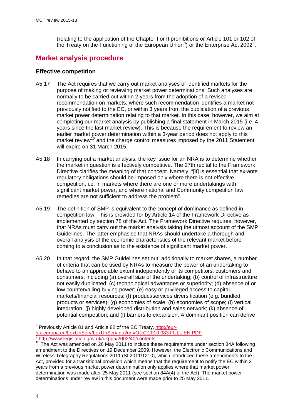(relating to the application of the Chapter I or II prohibitions or Article 101 or 102 of the Treaty on the Functioning of the European Union<sup>[8](#page-6-0)</sup>) or the Enterprise Act 2002<sup>[9](#page-6-1)</sup>.

# **Market analysis procedure**

## **Effective competition**

- A5.17 The Act requires that we carry out market analyses of identified markets for the purpose of making or reviewing market power determinations. Such analyses are normally to be carried out within 2 years from the adoption of a revised recommendation on markets, where such recommendation identifies a market not previously notified to the EC, or within 3 years from the publication of a previous market power determination relating to that market. In this case, however, we aim at completing our market analysis by publishing a final statement in March 2015 (i.e. 4 years since the last market review). This is because the requirement to review an earlier market power determination within a 3-year period does not apply to this market review<sup>[10](#page-6-2)</sup> and the charge control measures imposed by the 2011 Statement will expire on 31 March 2015.
- A5.18 In carrying out a market analysis, the key issue for an NRA is to determine whether the market in question is effectively competitive. The 27th recital to the Framework Directive clarifies the meaning of that concept. Namely, "[it] is essential that ex-ante regulatory obligations should be imposed only where there is not effective competition, i.e. in markets where there are one or more undertakings with significant market power, and where national and Community competition law remedies are not sufficient to address the problem".
- A5.19 The definition of SMP is equivalent to the concept of dominance as defined in competition law. This is provided for by Article 14 of the Framework Directive as implemented by section 78 of the Act. The Framework Directive requires, however, that NRAs must carry out the market analysis taking the utmost account of the SMP Guidelines. The latter emphasise that NRAs should undertake a thorough and overall analysis of the economic characteristics of the relevant market before coming to a conclusion as to the existence of significant market power.
- A5.20 In that regard, the SMP Guidelines set out, additionally to market shares, a number of criteria that can be used by NRAs to measure the power of an undertaking to behave to an appreciable extent independently of its competitors, customers and consumers, including (a) overall size of the undertaking; (b) control of infrastructure not easily duplicated; (c) technological advantages or superiority; (d) absence of or low countervailing buying power; (e) easy or privileged access to capital markets/financial resources; (f) product/services diversification (e.g. bundled products or services); (g) economies of scale; (h) economies of scope; (i) vertical integration; (j) highly developed distribution and sales network; (k) absence of potential competition; and (l) barriers to expansion. A dominant position can derive

<span id="page-6-0"></span><sup>&</sup>lt;sup>8</sup> Previously Article 81 and Article 82 of the EC Treaty, [http://eur](http://eur-lex.europa.eu/LexUriServ/LexUriServ.do?uri=OJ:C:2010:083:FULL:EN:PDF)[lex.europa.eu/LexUriServ/LexUriServ.do?uri=OJ:C:2010:083:FULL:EN:PDF](http://eur-lex.europa.eu/LexUriServ/LexUriServ.do?uri=OJ:C:2010:083:FULL:EN:PDF) <http://www.legislation.gov.uk/ukpga/2002/40/contents>

<span id="page-6-2"></span><span id="page-6-1"></span><sup>&</sup>lt;sup>10</sup> The Act was amended on 26 May 2011 to include these requirements under section 84A following amendment to the Directives on 19 December 2009. However, the Electronic Communications and Wireless Telegraphy Regulations 2011 (SI 2011/1210), which introduced these amendments to the Act, provided for a transitional provision which means that the requirement to notify the EC within 3 years from a previous market power determination only applies where that market power determination was made after 25 May 2011 (see section 84A(4) of the Act). The market power determinations under review in this document were made prior to 25 May 2011.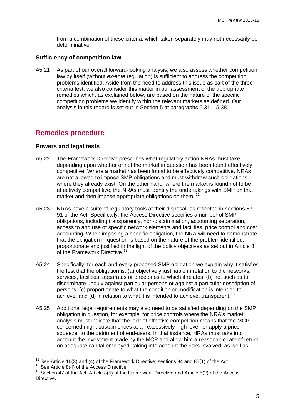from a combination of these criteria, which taken separately may not necessarily be determinative.

#### **Sufficiency of competition law**

A5.21 As part of our overall forward-looking analysis, we also assess whether competition law by itself (without *ex-ante* regulation) is sufficient to address the competition problems identified. Aside from the need to address this issue as part of the threecriteria test, we also consider this matter in our assessment of the appropriate remedies which, as explained below, are based on the nature of the specific competition problems we identify within the relevant markets as defined. Our analysis in this regard is set out in Section 5 at paragraphs 5.31 – 5.38.

# **Remedies procedure**

#### **Powers and legal tests**

- A5.22 The Framework Directive prescribes what regulatory action NRAs must take depending upon whether or not the market in question has been found effectively competitive. Where a market has been found to be effectively competitive, NRAs are not allowed to impose SMP obligations and must withdraw such obligations where they already exist. On the other hand, where the market is found not to be effectively competitive, the NRAs must identify the undertakings with SMP on that market and then impose appropriate obligations on them.<sup>[11](#page-7-0)</sup>
- A5.23 NRAs have a suite of regulatory tools at their disposal, as reflected in sections 87- 91 of the Act. Specifically, the Access Directive specifies a number of SMP obligations, including transparency, non-discrimination, accounting separation, access to and use of specific network elements and facilities, price control and cost accounting. When imposing a specific obligation, the NRA will need to demonstrate that the obligation in question is based on the nature of the problem identified, proportionate and justified in the light of the policy objectives as set out in Article 8 of the Framework Directive.<sup>[12](#page-7-1)</sup>
- A5.24 Specifically, for each and every proposed SMP obligation we explain why it satisfies the test that the obligation is: (a) objectively justifiable in relation to the networks, services, facilities, apparatus or directories to which it relates; (b) not such as to discriminate unduly against particular persons or against a particular description of persons; (c) proportionate to what the condition or modification is intended to achieve; and (d) in relation to what it is intended to achieve, transparent.<sup>[13](#page-7-2)</sup>
- A5.25 Additional legal requirements may also need to be satisfied depending on the SMP obligation in question, for example, for price controls where the NRA's market analysis must indicate that the lack of effective competition means that the MCP concerned might sustain prices at an excessively high level, or apply a price squeeze, to the detriment of end-users. In that instance, NRAs must take into account the investment made by the MCP and allow him a reasonable rate of return on adequate capital employed, taking into account the risks involved, as well as

 $11$  See Article 16(3) and (4) of the Framework Directive; sections 84 and 87(1) of the Act.

<span id="page-7-2"></span><span id="page-7-1"></span><span id="page-7-0"></span><sup>&</sup>lt;sup>12</sup> See Article 8(4) of the Access Directive.<br><sup>12</sup> See Article 8(4) of the Access Directive.<br><sup>13</sup> Section 47 of the Act; Article 8(5) of the Framework Directive and Article 5(2) of the Access **Directive**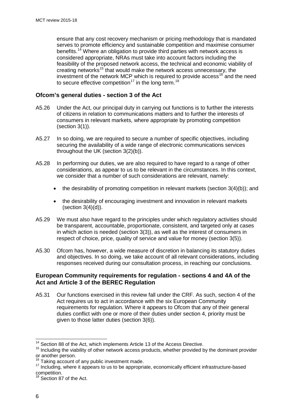ensure that any cost recovery mechanism or pricing methodology that is mandated serves to promote efficiency and sustainable competition and maximise consumer benefits.[14](#page-8-0) Where an obligation to provide third parties with network access is considered appropriate, NRAs must take into account factors including the feasibility of the proposed network access, the technical and economic viability of creating networks<sup>[15](#page-8-1)</sup> that would make the network access unnecessary, the investment of the network MCP which is required to provide  $access^{16}$  $access^{16}$  $access^{16}$  and the need to secure effective competition<sup>[17](#page-8-3)</sup> in the long term.<sup>[18](#page-8-4)</sup>

## **Ofcom's general duties - section 3 of the Act**

- A5.26 Under the Act, our principal duty in carrying out functions is to further the interests of citizens in relation to communications matters and to further the interests of consumers in relevant markets, where appropriate by promoting competition (section 3(1)).
- A5.27 In so doing, we are required to secure a number of specific objectives, including securing the availability of a wide range of electronic communications services throughout the UK (section 3(2)(b)).
- A5.28 In performing our duties, we are also required to have regard to a range of other considerations, as appear to us to be relevant in the circumstances. In this context, we consider that a number of such considerations are relevant, namely:
	- the desirability of promoting competition in relevant markets (section  $3(4)(b)$ ); and
	- the desirability of encouraging investment and innovation in relevant markets (section 3(4)(d)).
- A5.29 We must also have regard to the principles under which regulatory activities should be transparent, accountable, proportionate, consistent, and targeted only at cases in which action is needed (section 3(3)), as well as the interest of consumers in respect of choice, price, quality of service and value for money (section 3(5)).
- A5.30 Ofcom has, however, a wide measure of discretion in balancing its statutory duties and objectives. In so doing, we take account of all relevant considerations, including responses received during our consultation process, in reaching our conclusions.

## **European Community requirements for regulation - sections 4 and 4A of the Act and Article 3 of the BEREC Regulation**

A5.31 Our functions exercised in this review fall under the CRF. As such, section 4 of the Act requires us to act in accordance with the six European Community requirements for regulation. Where it appears to Ofcom that any of their general duties conflict with one or more of their duties under section 4, priority must be given to those latter duties (section 3(6)).

<sup>&</sup>lt;sup>14</sup> Section 88 of the Act, which implements Article 13 of the Access Directive.

<span id="page-8-1"></span><span id="page-8-0"></span><sup>&</sup>lt;sup>15</sup> Including the viability of other network access products, whether provided by the dominant provider or another person.<br><sup>16</sup> Taking account of any public investment made.

<span id="page-8-2"></span>

<span id="page-8-3"></span><sup>&</sup>lt;sup>17</sup> Including, where it appears to us to be appropriate, economically efficient infrastructure-based competition.

<span id="page-8-4"></span><sup>&</sup>lt;sup>18</sup> Section 87 of the Act.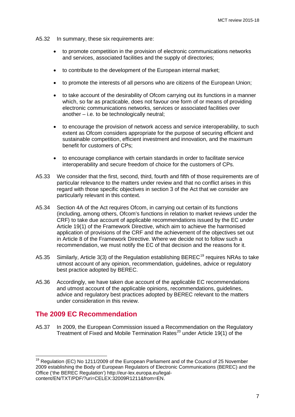- A5.32 In summary, these six requirements are:
	- to promote competition in the provision of electronic communications networks and services, associated facilities and the supply of directories;
	- to contribute to the development of the European internal market;
	- to promote the interests of all persons who are citizens of the European Union;
	- to take account of the desirability of Ofcom carrying out its functions in a manner which, so far as practicable, does not favour one form of or means of providing electronic communications networks, services or associated facilities over another – i.e. to be technologically neutral;
	- to encourage the provision of network access and service interoperability, to such extent as Ofcom considers appropriate for the purpose of securing efficient and sustainable competition, efficient investment and innovation, and the maximum benefit for customers of CPs;
	- to encourage compliance with certain standards in order to facilitate service interoperability and secure freedom of choice for the customers of CPs.
- A5.33 We consider that the first, second, third, fourth and fifth of those requirements are of particular relevance to the matters under review and that no conflict arises in this regard with those specific objectives in section 3 of the Act that we consider are particularly relevant in this context.
- A5.34 Section 4A of the Act requires Ofcom, in carrying out certain of its functions (including, among others, Ofcom's functions in relation to market reviews under the CRF) to take due account of applicable recommendations issued by the EC under Article 19(1) of the Framework Directive, which aim to achieve the harmonised application of provisions of the CRF and the achievement of the objectives set out in Article 8 of the Framework Directive. Where we decide not to follow such a recommendation, we must notify the EC of that decision and the reasons for it.
- A5.35 Similarly, Article 3(3) of the Regulation establishing BEREC<sup>[19](#page-9-0)</sup> requires NRAs to take utmost account of any opinion, recommendation, guidelines, advice or regulatory best practice adopted by BEREC.
- A5.36 Accordingly, we have taken due account of the applicable EC recommendations and utmost account of the applicable opinions, recommendations, guidelines, advice and regulatory best practices adopted by BEREC relevant to the matters under consideration in this review.

## **The 2009 EC Recommendation**

 $\overline{1}$ 

A5.37 In 2009, the European Commission issued a Recommendation on the Regulatory Treatment of Fixed and Mobile Termination Rates<sup>[20](#page-9-0)</sup> under Article 19(1) of the

<span id="page-9-0"></span> $19$  Regulation (EC) No 1211/2009 of the European Parliament and of the Council of 25 November 2009 establishing the Body of European Regulators of Electronic Communications (BEREC) and the Office ('the BEREC Regulation') http://eur-lex.europa.eu/legalcontent/EN/TXT/PDF/?uri=CELEX:32009R1211&from=EN.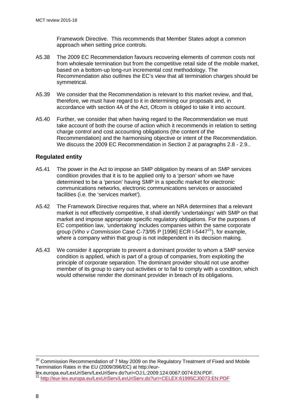Framework Directive. This recommends that Member States adopt a common approach when setting price controls.

- A5.38 The 2009 EC Recommendation favours recovering elements of common costs not from wholesale termination but from the competitive retail side of the mobile market, based on a bottom-up long-run incremental cost methodology. The Recommendation also outlines the EC's view that all termination charges should be symmetrical.
- A5.39 We consider that the Recommendation is relevant to this market review, and that, therefore, we must have regard to it in determining our proposals and, in accordance with section 4A of the Act, Ofcom is obliged to take it into account.
- A5.40 Further, we consider that when having regard to the Recommendation we must take account of both the course of action which it recommends in relation to setting charge control and cost accounting obligations (the content of the Recommendation) and the harmonising objective or intent of the Recommendation. We discuss the 2009 EC Recommendation in Section 2 at paragraphs 2.8 - 2.9..

## **Regulated entity**

- A5.41 The power in the Act to impose an SMP obligation by means of an SMP services condition provides that it is to be applied only to a 'person' whom we have determined to be a 'person' having SMP in a specific market for electronic communications networks, electronic communications services or associated facilities (i.e. the 'services market').
- A5.42 The Framework Directive requires that, where an NRA determines that a relevant market is not effectively competitive, it shall identify 'undertakings' with SMP on that market and impose appropriate specific regulatory obligations. For the purposes of EC competition law, 'undertaking' includes companies within the same corporate group (*Viho v Commission* Case C-73/95 P [1996] ECR I-5447[21](#page-10-0)), for example, where a company within that group is not independent in its decision making.
- A5.43 We consider it appropriate to prevent a dominant provider to whom a SMP service condition is applied, which is part of a group of companies, from exploiting the principle of corporate separation. The dominant provider should not use another member of its group to carry out activities or to fail to comply with a condition, which would otherwise render the dominant provider in breach of its obligations.

 $^{20}$  Commission Recommendation of 7 May 2009 on the Regulatory Treatment of Fixed and Mobile Termination Rates in the EU (2009/396/EC) at http://eur- $\overline{a}$ 

<span id="page-10-0"></span>lex.europa.eu/LexUriServ/LexUriServ.do?uri=OJ:L:2009:124:0067:0074:EN:PDF.<br><sup>21</sup> <http://eur-lex.europa.eu/LexUriServ/LexUriServ.do?uri=CELEX:61995CJ0073:EN:PDF>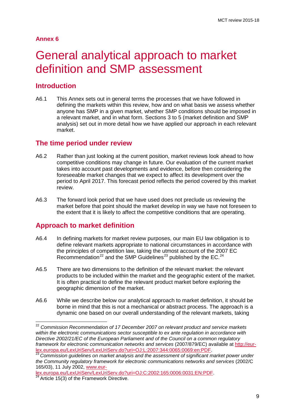### **Annex 6**

# <span id="page-11-0"></span>6 General analytical approach to market definition and SMP assessment

# **Introduction**

 $\overline{a}$ 

A6.1 This Annex sets out in general terms the processes that we have followed in defining the markets within this review, how and on what basis we assess whether anyone has SMP in a given market, whether SMP conditions should be imposed in a relevant market, and in what form. Sections 3 to 5 (market definition and SMP analysis) set out in more detail how we have applied our approach in each relevant market.

## **The time period under review**

- A6.2 Rather than just looking at the current position, market reviews look ahead to how competitive conditions may change in future. Our evaluation of the current market takes into account past developments and evidence, before then considering the foreseeable market changes that we expect to affect its development over the period to April 2017. This forecast period reflects the period covered by this market review.
- A6.3 The forward look period that we have used does not preclude us reviewing the market before that point should the market develop in way we have not foreseen to the extent that it is likely to affect the competitive conditions that are operating.

# **Approach to market definition**

- A6.4 In defining markets for market review purposes, our main EU law obligation is to define relevant markets appropriate to national circumstances in accordance with the principles of competition law, taking the utmost account of the 2007 EC Recommendation<sup>[22](#page-11-1)</sup> and the SMP Guidelines<sup>[23](#page-11-2)</sup> published by the EC.<sup>[24](#page-11-3)</sup>
- A6.5 There are two dimensions to the definition of the relevant market: the relevant products to be included within the market and the geographic extent of the market. It is often practical to define the relevant product market before exploring the geographic dimension of the market.
- A6.6 While we describe below our analytical approach to market definition, it should be borne in mind that this is not a mechanical or abstract process. The approach is a dynamic one based on our overall understanding of the relevant markets, taking

<span id="page-11-1"></span><sup>&</sup>lt;sup>22</sup> Commission Recommendation of 17 December 2007 on relevant product and service markets *within the electronic communications sector susceptible to ex ante regulation in accordance with Directive 2002/21/EC of the European Parliament and of the Council on a common regulatory framework for electronic communication networks and services* (2007/879/EC) available at *http://eur-*<br>lex.europa.eu/LexUriServ/LexUriServ.do?uri=OJ:L:2007:344:0065:0069:en:PDF.

<span id="page-11-2"></span><sup>&</sup>lt;sup>23</sup> Commission guidelines on market analysis and the assessment of significant market power under *the Community regulatory framework for electronic communications networks and services* (2002/C 165/03), 11 July 2002, [www.eur-](http://www.eur-lex.europa.eu/LexUriServ/LexUriServ.do?uri=OJ:C:2002:165:0006:0031:EN:PDF)

<span id="page-11-3"></span>[lex.europa.eu/LexUriServ/LexUriServ.do?uri=OJ:C:2002:165:0006:0031:EN:PDF.](http://www.eur-lex.europa.eu/LexUriServ/LexUriServ.do?uri=OJ:C:2002:165:0006:0031:EN:PDF)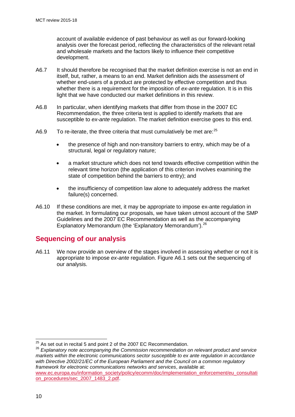account of available evidence of past behaviour as well as our forward-looking analysis over the forecast period, reflecting the characteristics of the relevant retail and wholesale markets and the factors likely to influence their competitive development.

- A6.7 It should therefore be recognised that the market definition exercise is not an end in itself, but, rather, a means to an end. Market definition aids the assessment of whether end-users of a product are protected by effective competition and thus whether there is a requirement for the imposition of *ex-ante* regulation. It is in this light that we have conducted our market definitions in this review.
- A6.8 In particular, when identifying markets that differ from those in the 2007 EC Recommendation, the three criteria test is applied to identify markets that are susceptible to *ex-ante* regulation. The market definition exercise goes to this end.
- A6.9 To re-iterate, the three criteria that must cumulatively be met are: $^{25}$  $^{25}$  $^{25}$ 
	- the presence of high and non-transitory barriers to entry, which may be of a structural, legal or regulatory nature;
	- a market structure which does not tend towards effective competition within the relevant time horizon (the application of this criterion involves examining the state of competition behind the barriers to entry); and
	- the insufficiency of competition law alone to adequately address the market failure(s) concerned.
- A6.10 If these conditions are met, it may be appropriate to impose ex-ante regulation in the market. In formulating our proposals, we have taken utmost account of the SMP Guidelines and the 2007 EC Recommendation as well as the accompanying Explanatory Memorandum (the 'Explanatory Memorandum').<sup>[26](#page-12-1)</sup>

# **Sequencing of our analysis**

A6.11 We now provide an overview of the stages involved in assessing whether or not it is appropriate to impose *ex-ante* regulation. [Figure A6.1](#page-13-0) sets out the sequencing of our analysis.

<span id="page-12-1"></span><span id="page-12-0"></span><sup>26</sup> *Explanatory note accompanying the Commission recommendation on relevant product and service markets within the electronic communications sector susceptible to ex ante regulation in accordance with Directive 2002/21/EC of the European Parliament and the Council on a common regulatory framework for electronic communications networks and services*, available at: [www.ec.europa.eu/information\\_society/policy/ecomm/doc/implementation\\_enforcement/eu\\_consultati](http://www.ec.europa.eu/information_society/policy/ecomm/doc/implementation_enforcement/eu_consultation_procedures/sec_2007_1483_2.pdf) [on\\_procedures/sec\\_2007\\_1483\\_2.pdf.](http://www.ec.europa.eu/information_society/policy/ecomm/doc/implementation_enforcement/eu_consultation_procedures/sec_2007_1483_2.pdf)

 $\frac{25}{10}$  As set out in recital 5 and point 2 of the 2007 EC Recommendation.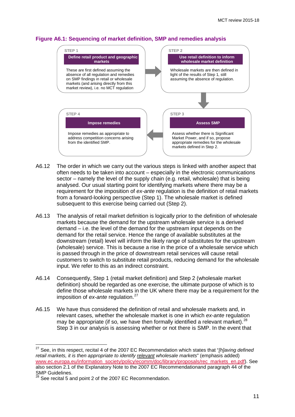## <span id="page-13-0"></span>**Figure A6.1: Sequencing of market definition, SMP and remedies analysis**



- A6.12 The order in which we carry out the various steps is linked with another aspect that often needs to be taken into account – especially in the electronic communications sector – namely the level of the supply chain (e.g. retail, wholesale) that is being analysed. Our usual starting point for identifying markets where there may be a requirement for the imposition of *ex-ante* regulation is the definition of retail markets from a forward-looking perspective (Step 1). The wholesale market is defined subsequent to this exercise being carried out (Step 2).
- A6.13 The analysis of retail market definition is logically prior to the definition of wholesale markets because the demand for the upstream wholesale service is a derived demand – i.e. the level of the demand for the upstream input depends on the demand for the retail service. Hence the range of available substitutes at the downstream (retail) level will inform the likely range of substitutes for the upstream (wholesale) service. This is because a rise in the price of a wholesale service which is passed through in the price of downstream retail services will cause retail customers to switch to substitute retail products, reducing demand for the wholesale input. We refer to this as an indirect constraint.
- A6.14 Consequently, Step 1 (retail market definition) and Step 2 (wholesale market definition) should be regarded as one exercise, the ultimate purpose of which is to define those wholesale markets in the UK where there may be a requirement for the imposition of *ex-ante* regulation.<sup>[27](#page-13-1)</sup>
- A6.15 We have thus considered the definition of retail and wholesale markets and, in relevant cases, whether the wholesale market is one in which *ex-ante* regulation may be appropriate (if so, we have then formally identified a relevant market).  $28$ Step 3 in our analysis is assessing whether or not there is SMP. In the event that

<span id="page-13-1"></span><sup>27</sup> See, in this respect, recital 4 of the 2007 EC Recommendation which states that "*[h]aving defined retail markets, it is then appropriate to identify relevant wholesale markets*" (emphasis added) [www.ec.europa.eu/information\\_society/policy/ecomm/doc/library/proposals/rec\\_markets\\_en.pdf\)](http://www.ec.europa.eu/information_society/policy/ecomm/doc/library/proposals/rec_markets_en.pdf). See also section 2.1 of the Explanatory Note to the 2007 EC Recommendationand paragraph 44 of the SMP Guidelines.

<span id="page-13-2"></span> $^{28}$  See recital 5 and point 2 of the 2007 EC Recommendation.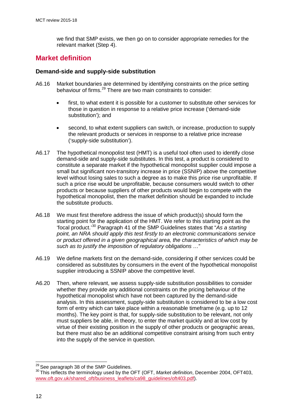we find that SMP exists, we then go on to consider appropriate remedies for the relevant market (Step 4).

# **Market definition**

## **Demand-side and supply-side substitution**

- A6.16 Market boundaries are determined by identifying constraints on the price setting behaviour of firms.<sup>[29](#page-14-0)</sup> There are two main constraints to consider:
	- first, to what extent it is possible for a customer to substitute other services for those in question in response to a relative price increase ('demand-side substitution'); and
	- second, to what extent suppliers can switch, or increase, production to supply the relevant products or services in response to a relative price increase ('supply-side substitution').
- A6.17 The hypothetical monopolist test (HMT) is a useful tool often used to identify close demand-side and supply-side substitutes. In this test, a product is considered to constitute a separate market if the hypothetical monopolist supplier could impose a small but significant non-transitory increase in price (SSNIP) above the competitive level without losing sales to such a degree as to make this price rise unprofitable. If such a price rise would be unprofitable, because consumers would switch to other products or because suppliers of other products would begin to compete with the hypothetical monopolist, then the market definition should be expanded to include the substitute products.
- A6.18 We must first therefore address the issue of which product(s) should form the starting point for the application of the HMT. We refer to this starting point as the 'focal product.'[30](#page-14-1) Paragraph 41 of the SMP Guidelines states that "*As a starting point, an NRA should apply this test firstly to an electronic communications service or product offered in a given geographical area, the characteristics of which may be such as to justify the imposition of regulatory obligations …*"
- A6.19 We define markets first on the demand-side, considering if other services could be considered as substitutes by consumers in the event of the hypothetical monopolist supplier introducing a SSNIP above the competitive level.
- A6.20 Then, where relevant, we assess supply-side substitution possibilities to consider whether they provide any additional constraints on the pricing behaviour of the hypothetical monopolist which have not been captured by the demand-side analysis. In this assessment, supply-side substitution is considered to be a low cost form of entry which can take place within a reasonable timeframe (e.g. up to 12 months). The key point is that, for supply-side substitution to be relevant, not only must suppliers be able, in theory, to enter the market quickly and at low cost by virtue of their existing position in the supply of other products or geographic areas, but there must also be an additional competitive constraint arising from such entry into the supply of the service in question.

<span id="page-14-0"></span><sup>&</sup>lt;sup>29</sup> See paragraph 38 of the SMP Guidelines.

<span id="page-14-1"></span><sup>&</sup>lt;sup>30</sup> This reflects the terminology used by the OFT (OFT, *Market definition*, December 2004, OFT403, [www.oft.gov.uk/shared\\_oft/business\\_leaflets/ca98\\_guidelines/oft403.pdf\)](http://www.oft.gov.uk/shared_oft/business_leaflets/ca98_guidelines/oft403.pdf).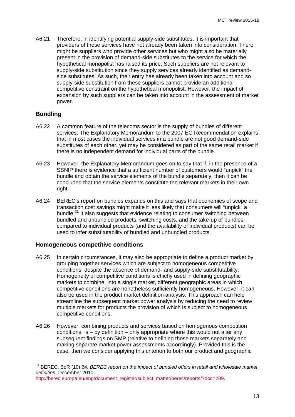A6.21 Therefore, in identifying potential supply-side substitutes, it is important that providers of these services have not already been taken into consideration. There might be suppliers who provide other services but who might also be materially present in the provision of demand-side substitutes to the service for which the hypothetical monopolist has raised its price. Such suppliers are not relevant to supply-side substitution since they supply services already identified as demandside substitutes. As such, their entry has already been taken into account and so supply-side substitution from these suppliers cannot provide an additional competitive constraint on the hypothetical monopolist. However, the impact of expansion by such suppliers can be taken into account in the assessment of market power.

#### **Bundling**

 $\overline{a}$ 

- A6.22 A common feature of the telecoms sector is the supply of bundles of different services. The Explanatory Memorandum to the 2007 EC Recommendation explains that in most cases the individual services in a bundle are not good demand-side substitutes of each other, yet may be considered as part of the same retail market if there is no independent demand for individual parts of the bundle.
- A6.23 However, the Explanatory Memorandum goes on to say that if, in the presence of a SSNIP there is evidence that a sufficient number of customers would "unpick" the bundle and obtain the service elements of the bundle separately, then it can be concluded that the service elements constitute the relevant markets in their own right.
- A6.24 BEREC's report on bundles expands on this and says that economies of scope and transaction cost savings might make it less likely that consumers will "unpick" a bundle.<sup>[31](#page-15-0)</sup> It also suggests that evidence relating to consumer switching between bundled and unbundled products, switching costs, and the take-up of bundles compared to individual products (and the availability of individual products) can be used to infer substitutability of bundled and unbundled products.

#### **Homogeneous competitive conditions**

- A6.25 In certain circumstances, it may also be appropriate to define a product market by grouping together services which are subject to homogeneous competitive conditions, despite the absence of demand- and supply-side substitutability. Homogeneity of competitive conditions is chiefly used in defining geographic markets to combine, into a single market, different geographic areas in which competitive conditions are nonetheless sufficiently homogeneous. However, it can also be used in the product market definition analysis. This approach can help streamline the subsequent market power analysis by reducing the need to review multiple markets for products the provision of which is subject to homogeneous competitive conditions.
- A6.26 However, combining products and services based on homogenous competition conditions, is – by definition – only appropriate where this would not alter any subsequent findings on SMP (relative to defining those markets separately and making separate market power assessments accordingly). Provided this is the case, then we consider applying this criterion to both our product and geographic

<span id="page-15-0"></span><sup>31</sup> BEREC, BoR (10) 64, *BEREC report on the impact of bundled offers in retail and wholesale market definition*, December 2010,

[http://berec.europa.eu/eng/document\\_register/subject\\_matter/berec/reports/?doc=209.](http://berec.europa.eu/eng/document_register/subject_matter/berec/reports/?doc=209)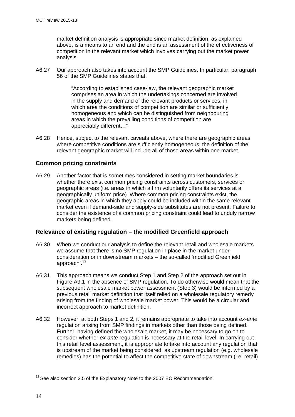market definition analysis is appropriate since market definition, as explained above, is a means to an end and the end is an assessment of the effectiveness of competition in the relevant market which involves carrying out the market power analysis.

A6.27 Our approach also takes into account the SMP Guidelines. In particular, paragraph 56 of the SMP Guidelines states that:

> "According to established case-law, the relevant geographic market comprises an area in which the undertakings concerned are involved in the supply and demand of the relevant products or services, in which area the conditions of competition are similar or sufficiently homogeneous and which can be distinguished from neighbouring areas in which the prevailing conditions of competition are appreciably different…"

A6.28 Hence, subject to the relevant caveats above, where there are geographic areas where competitive conditions are sufficiently homogeneous, the definition of the relevant geographic market will include all of those areas within one market.

## **Common pricing constraints**

A6.29 Another factor that is sometimes considered in setting market boundaries is whether there exist common pricing constraints across customers, services or geographic areas (i.e. areas in which a firm voluntarily offers its services at a geographically uniform price). Where common pricing constraints exist, the geographic areas in which they apply could be included within the same relevant market even if demand-side and supply-side substitutes are not present. Failure to consider the existence of a common pricing constraint could lead to unduly narrow markets being defined.

## **Relevance of existing regulation – the modified Greenfield approach**

- A6.30 When we conduct our analysis to define the relevant retail and wholesale markets we assume that there is no SMP regulation in place in the market under consideration or in downstream markets – the so-called 'modified Greenfield approach'.[32](#page-16-0)
- A6.31 This approach means we conduct Step 1 and Step 2 of the approach set out in Figure A9.1 in the absence of SMP regulation. To do otherwise would mean that the subsequent wholesale market power assessment (Step 3) would be informed by a previous retail market definition that itself relied on a wholesale regulatory remedy arising from the finding of wholesale market power. This would be a circular and incorrect approach to market definition.
- A6.32 However, at both Steps 1 and 2, it remains appropriate to take into account *ex-ante* regulation arising from SMP findings in markets other than those being defined. Further, having defined the wholesale market, it may be necessary to go on to consider whether *ex-ante* regulation is necessary at the retail level. In carrying out this retail level assessment, it is appropriate to take into account any regulation that is upstream of the market being considered, as upstream regulation (e.g. wholesale remedies) has the potential to affect the competitive state of downstream (i.e. retail)

<span id="page-16-0"></span> $32$  See also section 2.5 of the Explanatory Note to the 2007 EC Recommendation.  $\overline{a}$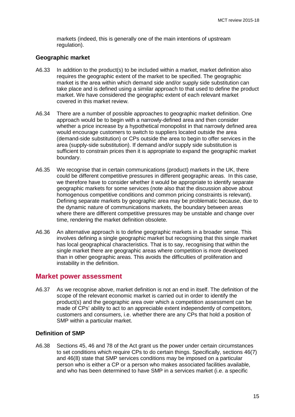markets (indeed, this is generally one of the main intentions of upstream regulation).

#### **Geographic market**

- A6.33 In addition to the product(s) to be included within a market, market definition also requires the geographic extent of the market to be specified. The geographic market is the area within which demand side and/or supply side substitution can take place and is defined using a similar approach to that used to define the product market. We have considered the geographic extent of each relevant market covered in this market review.
- A6.34 There are a number of possible approaches to geographic market definition. One approach would be to begin with a narrowly-defined area and then consider whether a price increase by a hypothetical monopolist in that narrowly defined area would encourage customers to switch to suppliers located outside the area (demand-side substitution) or CPs outside the area to begin to offer services in the area (supply-side substitution). If demand and/or supply side substitution is sufficient to constrain prices then it is appropriate to expand the geographic market boundary.
- A6.35 We recognise that in certain communications (product) markets in the UK, there could be different competitive pressures in different geographic areas. In this case, we therefore have to consider whether it would be appropriate to identify separate geographic markets for some services (note also that the discussion above about homogenous competitive conditions and common pricing constraints is relevant). Defining separate markets by geographic area may be problematic because, due to the dynamic nature of communications markets, the boundary between areas where there are different competitive pressures may be unstable and change over time, rendering the market definition obsolete.
- A6.36 An alternative approach is to define geographic markets in a broader sense. This involves defining a single geographic market but recognising that this single market has local geographical characteristics. That is to say, recognising that within the single market there are geographic areas where competition is more developed than in other geographic areas. This avoids the difficulties of proliferation and instability in the definition.

#### **Market power assessment**

A6.37 As we recognise above, market definition is not an end in itself. The definition of the scope of the relevant economic market is carried out in order to identify the product(s) and the geographic area over which a competition assessment can be made of CPs' ability to act to an appreciable extent independently of competitors, customers and consumers, i.e. whether there are any CPs that hold a position of SMP within a particular market.

### **Definition of SMP**

A6.38 Sections 45, 46 and 78 of the Act grant us the power under certain circumstances to set conditions which require CPs to do certain things. Specifically, sections 46(7) and 46(8) state that SMP services conditions may be imposed on a particular person who is either a CP or a person who makes associated facilities available, and who has been determined to have SMP in a services market (i.e. a specific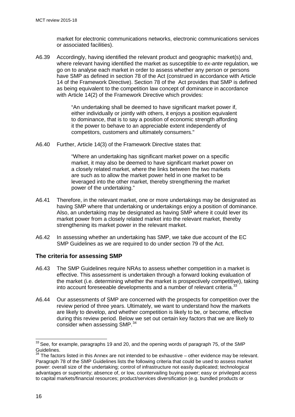market for electronic communications networks, electronic communications services or associated facilities).

A6.39 Accordingly, having identified the relevant product and geographic market(s) and, where relevant having identified the market as susceptible to *ex-ante* regulation, we go on to analyse each market in order to assess whether any person or persons have SMP as defined in section 78 of the Act (construed in accordance with Article 14 of the Framework Directive). Section 78 of the Act provides that SMP is defined as being equivalent to the competition law concept of dominance in accordance with Article 14(2) of the Framework Directive which provides:

> "An undertaking shall be deemed to have significant market power if, either individually or jointly with others, it enjoys a position equivalent to dominance, that is to say a position of economic strength affording it the power to behave to an appreciable extent independently of competitors, customers and ultimately consumers."

A6.40 Further, Article 14(3) of the Framework Directive states that:

"Where an undertaking has significant market power on a specific market, it may also be deemed to have significant market power on a closely related market, where the links between the two markets are such as to allow the market power held in one market to be leveraged into the other market, thereby strengthening the market power of the undertaking."

- A6.41 Therefore, in the relevant market, one or more undertakings may be designated as having SMP where that undertaking or undertakings enjoy a position of dominance. Also, an undertaking may be designated as having SMP where it could lever its market power from a closely related market into the relevant market, thereby strengthening its market power in the relevant market.
- A6.42 In assessing whether an undertaking has SMP, we take due account of the EC SMP Guidelines as we are required to do under section 79 of the Act.

## **The criteria for assessing SMP**

- A6.43 The SMP Guidelines require NRAs to assess whether competition in a market is effective. This assessment is undertaken through a forward looking evaluation of the market (i.e. determining whether the market is prospectively competitive), taking into account foreseeable developments and a number of relevant criteria.<sup>[33](#page-18-0)</sup>
- A6.44 Our assessments of SMP are concerned with the prospects for competition over the review period of three years. Ultimately, we want to understand how the markets are likely to develop, and whether competition is likely to be, or become, effective during this review period. Below we set out certain key factors that we are likely to consider when assessing SMP.<sup>[34](#page-18-1)</sup>

<span id="page-18-0"></span> $^{33}$  See, for example, paragraphs 19 and 20, and the opening words of paragraph 75, of the SMP Guidelines.  $\overline{a}$ 

<span id="page-18-1"></span><sup>&</sup>lt;sup>34</sup> The factors listed in this Annex are not intended to be exhaustive – other evidence may be relevant. Paragraph 78 of the SMP Guidelines lists the following criteria that could be used to assess market power: overall size of the undertaking; control of infrastructure not easily duplicated; technological advantages or superiority; absence of, or low, countervailing buying power; easy or privileged access to capital markets/financial resources; product/services diversification (e.g. bundled products or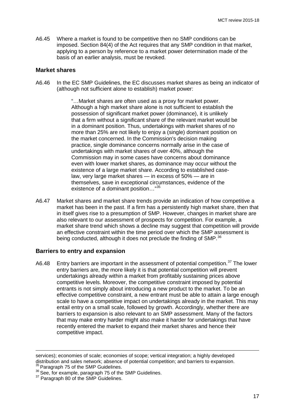A6.45 Where a market is found to be competitive then no SMP conditions can be imposed. Section 84(4) of the Act requires that any SMP condition in that market, applying to a person by reference to a market power determination made of the basis of an earlier analysis, must be revoked.

#### **Market shares**

A6.46 In the EC SMP Guidelines, the EC discusses market shares as being an indicator of (although not sufficient alone to establish) market power:

> "…Market shares are often used as a proxy for market power. Although a high market share alone is not sufficient to establish the possession of significant market power (dominance), it is unlikely that a firm without a significant share of the relevant market would be in a dominant position. Thus, undertakings with market shares of no more than 25% are not likely to enjoy a (single) dominant position on the market concerned. In the Commission's decision making practice, single dominance concerns normally arise in the case of undertakings with market shares of over 40%, although the Commission may in some cases have concerns about dominance even with lower market shares, as dominance may occur without the existence of a large market share. According to established caselaw, very large market shares — in excess of 50% — are in themselves, save in exceptional circumstances, evidence of the existence of a dominant position…"[35](#page-19-0)

A6.47 Market shares and market share trends provide an indication of how competitive a market has been in the past. If a firm has a persistently high market share, then that in itself gives rise to a presumption of SMP. However, changes in market share are also relevant to our assessment of prospects for competition. For example, a market share trend which shows a decline may suggest that competition will provide an effective constraint within the time period over which the SMP assessment is being conducted, although it does not preclude the finding of SMP.<sup>[36](#page-19-1)</sup>

#### **Barriers to entry and expansion**

A6.48 Entry barriers are important in the assessment of potential competition.<sup>[37](#page-19-2)</sup> The lower entry barriers are, the more likely it is that potential competition will prevent undertakings already within a market from profitably sustaining prices above competitive levels. Moreover, the competitive constraint imposed by potential entrants is not simply about introducing a new product to the market. To be an effective competitive constraint, a new entrant must be able to attain a large enough scale to have a competitive impact on undertakings already in the market. This may entail entry on a small scale, followed by growth. Accordingly, whether there are barriers to expansion is also relevant to an SMP assessment. Many of the factors that may make entry harder might also make it harder for undertakings that have recently entered the market to expand their market shares and hence their competitive impact.

services); economies of scale; economies of scope; vertical integration; a highly developed distribution and sales network; absence of potential competition; and barriers to expansion. 35 Paragraph 75 of the SMP Guidelines. -

<span id="page-19-2"></span><span id="page-19-1"></span><span id="page-19-0"></span><sup>&</sup>lt;sup>36</sup> See, for example, paragraph 75 of the SMP Guidelines.<br><sup>37</sup> Paragraph 80 of the SMP Guidelines.